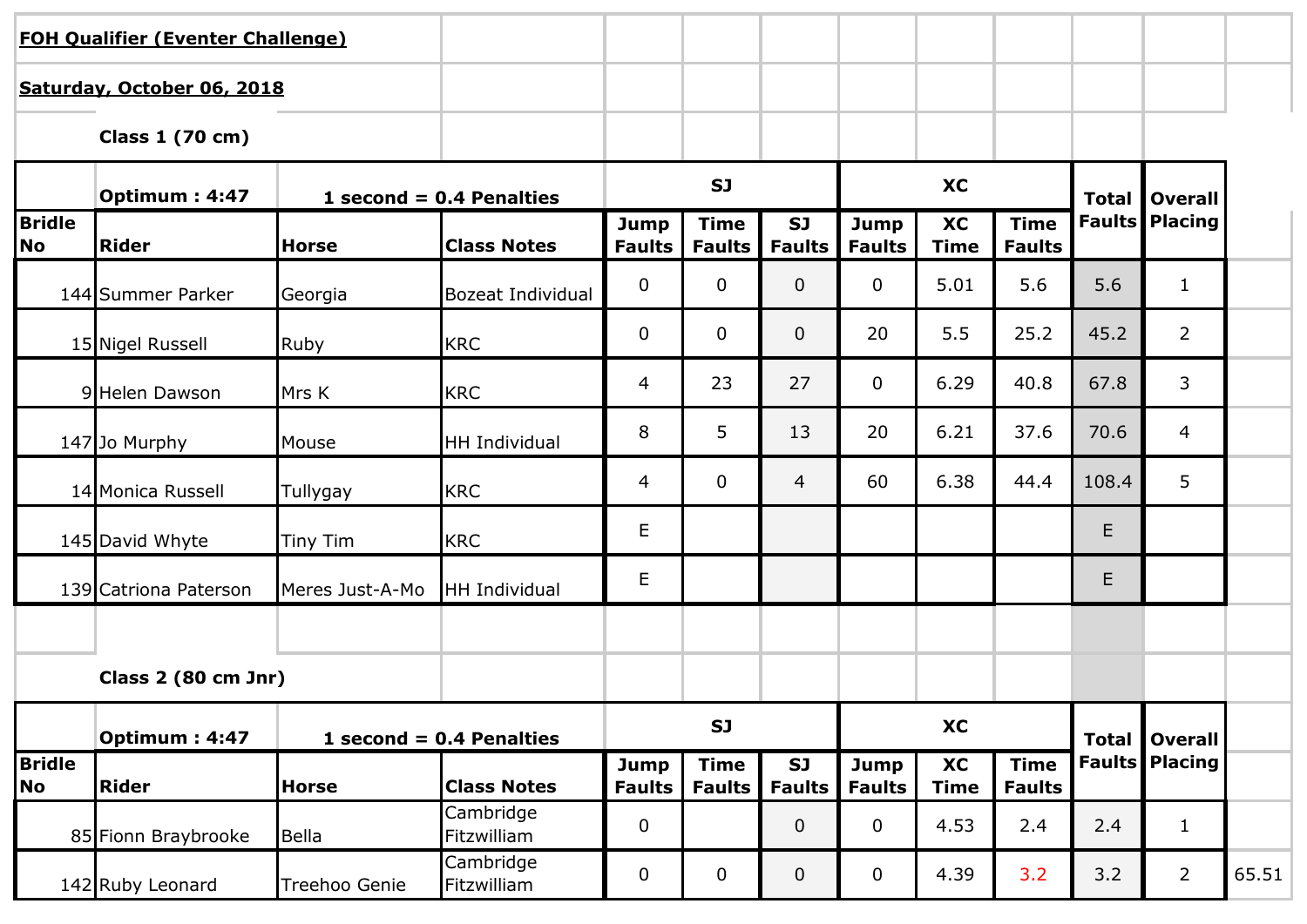|                            | <b>FOH Qualifier (Eventer Challenge)</b> |                      |                            |                       |                              |                            |                       |                          |                              |              |                       |       |
|----------------------------|------------------------------------------|----------------------|----------------------------|-----------------------|------------------------------|----------------------------|-----------------------|--------------------------|------------------------------|--------------|-----------------------|-------|
|                            | Saturday, October 06, 2018               |                      |                            |                       |                              |                            |                       |                          |                              |              |                       |       |
|                            | Class 1 (70 cm)                          |                      |                            |                       |                              |                            |                       |                          |                              |              |                       |       |
|                            | Optimum: 4:47                            |                      | 1 second = $0.4$ Penalties |                       | <b>SJ</b>                    |                            |                       | <b>XC</b>                |                              | <b>Total</b> | <b>Overall</b>        |       |
| <b>Bridle</b><br><b>No</b> | <b>Rider</b>                             | <b>Horse</b>         | <b>Class Notes</b>         | Jump<br><b>Faults</b> | <b>Time</b><br><b>Faults</b> | <b>SJ</b><br><b>Faults</b> | Jump<br><b>Faults</b> | <b>XC</b><br><b>Time</b> | <b>Time</b><br><b>Faults</b> |              | <b>Faults Placing</b> |       |
|                            | 144 Summer Parker                        | Georgia              | <b>Bozeat Individual</b>   | $\mathbf 0$           | $\mathbf 0$                  | $\overline{0}$             | $\mathbf 0$           | 5.01                     | 5.6                          | 5.6          | $\mathbf{1}$          |       |
|                            | 15 Nigel Russell                         | Ruby                 | <b>KRC</b>                 | $\mathbf 0$           | 0                            | $\overline{0}$             | 20                    | 5.5                      | 25.2                         | 45.2         | $\overline{2}$        |       |
|                            | 9 Helen Dawson                           | Mrs K                | <b>KRC</b>                 | 4                     | 23                           | 27                         | $\mathbf 0$           | 6.29                     | 40.8                         | 67.8         | 3                     |       |
|                            | 147 Jo Murphy                            | Mouse                | HH Individual              | 8                     | 5                            | 13                         | 20                    | 6.21                     | 37.6                         | 70.6         | 4                     |       |
|                            | 14 Monica Russell                        | Tullygay             | <b>KRC</b>                 | 4                     | $\mathbf 0$                  | $\overline{4}$             | 60                    | 6.38                     | 44.4                         | 108.4        | 5                     |       |
|                            | 145 David Whyte                          | Tiny Tim             | <b>KRC</b>                 | E                     |                              |                            |                       |                          |                              | E.           |                       |       |
|                            | 139 Catriona Paterson                    | Meres Just-A-Mo      | HH Individual              | E.                    |                              |                            |                       |                          |                              | E.           |                       |       |
|                            |                                          |                      |                            |                       |                              |                            |                       |                          |                              |              |                       |       |
|                            | Class 2 (80 cm Jnr)                      |                      |                            |                       |                              |                            |                       |                          |                              |              |                       |       |
|                            | Optimum: 4:47                            |                      | 1 second = $0.4$ Penalties |                       | <b>SJ</b>                    |                            |                       | <b>XC</b>                |                              |              | Total Overall         |       |
| <b>Bridle</b><br><b>No</b> | <b>Rider</b>                             | <b>Horse</b>         | <b>Class Notes</b>         | Jump<br><b>Faults</b> | <b>Time</b><br><b>Faults</b> | <b>SJ</b><br><b>Faults</b> | Jump<br><b>Faults</b> | <b>XC</b><br><b>Time</b> | <b>Time</b><br><b>Faults</b> |              | <b>Faults Placing</b> |       |
|                            | 85 Fionn Braybrooke                      | Bella                | Cambridge<br>Fitzwilliam   | $\mathbf 0$           |                              | $\mathbf 0$                | $\mathbf 0$           | 4.53                     | 2.4                          | 2.4          | $\mathbf{1}$          |       |
|                            | 142 Ruby Leonard                         | <b>Treehoo Genie</b> | Cambridge<br>Fitzwilliam   | $\mathbf 0$           | 0                            | 0                          | $\mathbf 0$           | 4.39                     | 3.2                          | 3.2          | $\overline{2}$        | 65.51 |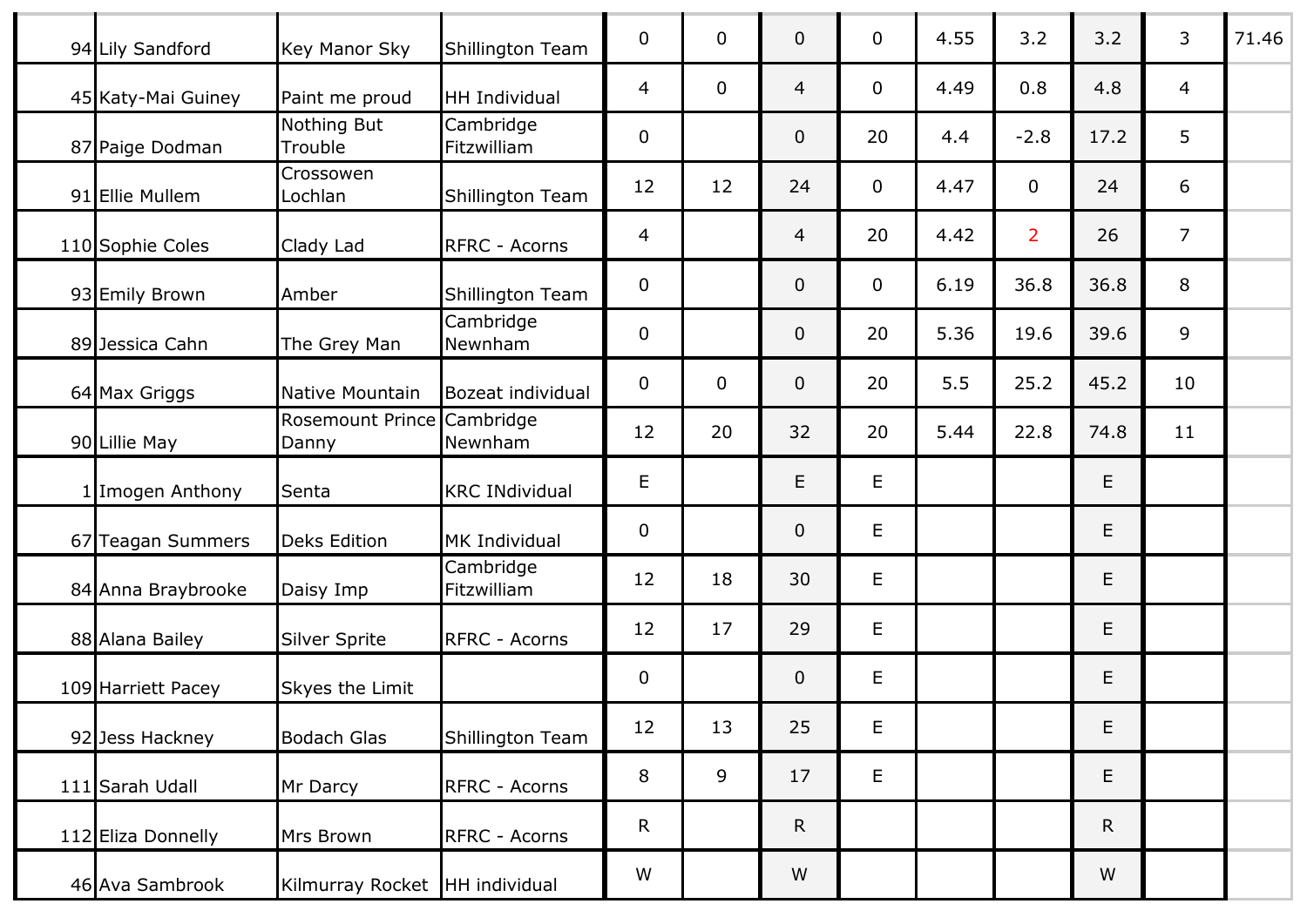| 94 Lily Sandford   | <b>Key Manor Sky</b>                | Shillington Team         | $\mathbf 0$    | $\mathbf 0$ | 0              | $\mathbf 0$ | 4.55 | 3.2            | 3.2  | 3              | 71.46 |
|--------------------|-------------------------------------|--------------------------|----------------|-------------|----------------|-------------|------|----------------|------|----------------|-------|
| 45 Katy-Mai Guiney | Paint me proud                      | <b>HH Individual</b>     | 4              | $\mathbf 0$ | $\overline{4}$ | $\mathbf 0$ | 4.49 | 0.8            | 4.8  | 4              |       |
| 87 Paige Dodman    | Nothing But<br>Trouble              | Cambridge<br>Fitzwilliam | $\mathbf 0$    |             | 0              | 20          | 4.4  | $-2.8$         | 17.2 | 5              |       |
| 91 Ellie Mullem    | Crossowen<br>Lochlan                | Shillington Team         | 12             | 12          | 24             | $\mathbf 0$ | 4.47 | $\mathbf 0$    | 24   | 6              |       |
| 110 Sophie Coles   | Clady Lad                           | <b>RFRC - Acorns</b>     | 4              |             | 4              | 20          | 4.42 | $\overline{2}$ | 26   | $\overline{7}$ |       |
| 93 Emily Brown     | Amber                               | Shillington Team         | $\overline{0}$ |             | $\mathbf 0$    | $\mathbf 0$ | 6.19 | 36.8           | 36.8 | 8              |       |
| 89 Jessica Cahn    | The Grey Man                        | Cambridge<br>Newnham     | $\mathbf 0$    |             | 0              | 20          | 5.36 | 19.6           | 39.6 | 9              |       |
| 64 Max Griggs      | Native Mountain                     | Bozeat individual        | $\mathbf 0$    | $\mathbf 0$ | $\overline{0}$ | 20          | 5.5  | 25.2           | 45.2 | 10             |       |
| 90 Lillie May      | Rosemount Prince Cambridge<br>Danny | Newnham                  | 12             | 20          | 32             | 20          | 5.44 | 22.8           | 74.8 | 11             |       |
| 1 Imogen Anthony   | Senta                               | <b>KRC INdividual</b>    | E              |             | E              | E           |      |                | E    |                |       |
| 67 Teagan Summers  | <b>Deks Edition</b>                 | <b>MK Individual</b>     | $\mathbf 0$    |             | 0              | E           |      |                | E    |                |       |
| 84 Anna Braybrooke | Daisy Imp                           | Cambridge<br>Fitzwilliam | 12             | 18          | 30             | E           |      |                | E    |                |       |
| 88 Alana Bailey    | <b>Silver Sprite</b>                | <b>RFRC - Acorns</b>     | 12             | 17          | 29             | E           |      |                | E    |                |       |
| 109 Harriett Pacey | Skyes the Limit                     |                          | $\mathbf 0$    |             | $\mathbf 0$    | E           |      |                | E    |                |       |
| 92 Jess Hackney    | <b>Bodach Glas</b>                  | Shillington Team         | 12             | 13          | 25             | E           |      |                | E    |                |       |
| 111 Sarah Udall    | Mr Darcy                            | <b>RFRC - Acorns</b>     | 8              | 9           | 17             | E           |      |                | E    |                |       |
| 112 Eliza Donnelly | Mrs Brown                           | RFRC - Acorns            | R              |             | R              |             |      |                | R.   |                |       |
| 46 Ava Sambrook    | Kilmurray Rocket                    | HH individual            | W              |             | W              |             |      |                | W    |                |       |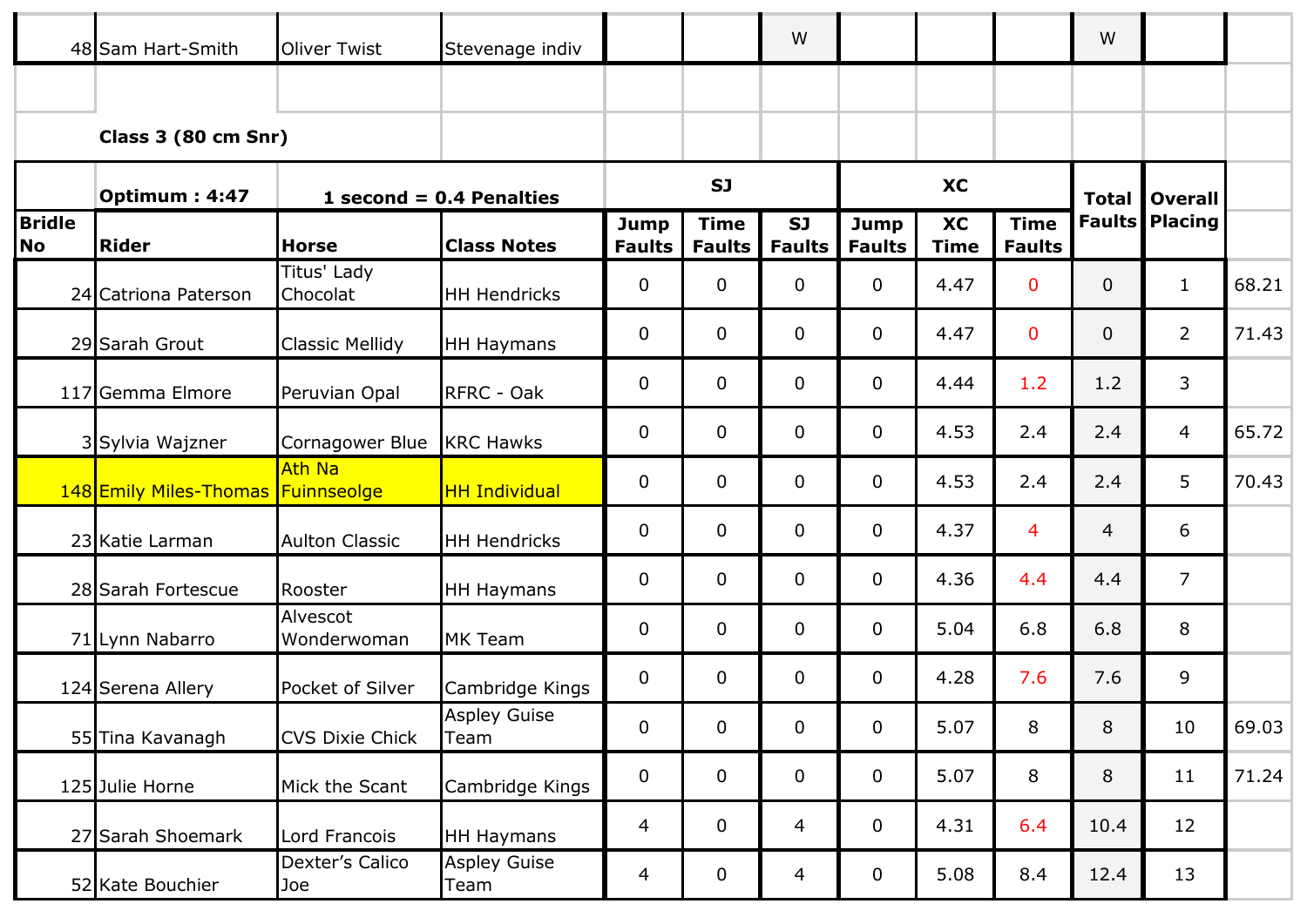|                     | 48 Sam Hart-Smith                  | <b>Oliver Twist</b>     | Stevenage indiv             |                              |                              | W                          |                              |                          |                              | W              |                         |       |
|---------------------|------------------------------------|-------------------------|-----------------------------|------------------------------|------------------------------|----------------------------|------------------------------|--------------------------|------------------------------|----------------|-------------------------|-------|
|                     |                                    |                         |                             |                              |                              |                            |                              |                          |                              |                |                         |       |
|                     | Class 3 (80 cm Snr)                |                         |                             |                              |                              |                            |                              |                          |                              |                |                         |       |
|                     | Optimum: 4:47                      |                         | 1 second = $0.4$ Penalties  |                              | <b>SJ</b>                    |                            |                              | <b>XC</b>                |                              | <b>Total</b>   | <b>Overall</b>          |       |
| <b>Bridle</b><br>No | <b>Rider</b>                       | <b>Horse</b>            | <b>Class Notes</b>          | <b>Jump</b><br><b>Faults</b> | <b>Time</b><br><b>Faults</b> | <b>SJ</b><br><b>Faults</b> | <b>Jump</b><br><b>Faults</b> | <b>XC</b><br><b>Time</b> | <b>Time</b><br><b>Faults</b> |                | <b>Faults   Placing</b> |       |
|                     | 24 Catriona Paterson               | Titus' Lady<br>Chocolat | <b>HH Hendricks</b>         | $\mathbf 0$                  | $\overline{0}$               | $\overline{0}$             | $\mathbf 0$                  | 4.47                     | $\mathbf 0$                  | $\overline{0}$ | $\mathbf{1}$            | 68.21 |
|                     | 29 Sarah Grout                     | <b>Classic Mellidy</b>  | <b>HH Haymans</b>           | $\mathbf 0$                  | $\mathbf 0$                  | $\mathbf 0$                | $\overline{0}$               | 4.47                     | $\mathbf{0}$                 | 0              | $\overline{2}$          | 71.43 |
|                     | 117 Gemma Elmore                   | Peruvian Opal           | RFRC - Oak                  | $\mathbf 0$                  | $\mathbf 0$                  | $\mathbf 0$                | $\mathbf 0$                  | 4.44                     | 1.2                          | 1.2            | 3                       |       |
|                     | 3 Sylvia Wajzner                   | Cornagower Blue         | <b>KRC Hawks</b>            | $\mathbf 0$                  | $\mathbf 0$                  | 0                          | $\overline{0}$               | 4.53                     | 2.4                          | 2.4            | $\overline{4}$          | 65.72 |
|                     | 148 Emily Miles-Thomas Fuinnseolge | <b>Ath Na</b>           | <b>HH Individual</b>        | $\mathbf 0$                  | $\mathbf 0$                  | $\overline{0}$             | $\overline{0}$               | 4.53                     | 2.4                          | 2.4            | 5                       | 70.43 |
|                     | 23 Katie Larman                    | <b>Aulton Classic</b>   | <b>HH Hendricks</b>         | $\mathbf 0$                  | $\mathbf 0$                  | $\mathbf 0$                | $\mathbf 0$                  | 4.37                     | 4                            | $\overline{4}$ | 6                       |       |
|                     | 28 Sarah Fortescue                 | Rooster                 | <b>HH Haymans</b>           | $\mathbf 0$                  | $\mathbf 0$                  | 0                          | $\mathbf 0$                  | 4.36                     | 4.4                          | 4.4            | $\overline{7}$          |       |
|                     | 71 Lynn Nabarro                    | Alvescot<br>Wonderwoman | <b>MK Team</b>              | $\mathbf 0$                  | 0                            | $\mathbf 0$                | $\overline{0}$               | 5.04                     | 6.8                          | 6.8            | 8                       |       |
|                     | 124 Serena Allery                  | Pocket of Silver        | Cambridge Kings             | $\overline{0}$               | $\mathbf 0$                  | $\mathbf 0$                | $\mathbf 0$                  | 4.28                     | 7.6                          | 7.6            | 9                       |       |
|                     | 55 Tina Kavanagh                   | <b>CVS Dixie Chick</b>  | <b>Aspley Guise</b><br>Team | 0                            | 0                            | 0                          | $\pmb{0}$                    | 5.07                     | 8                            | 8              | 10                      | 69.03 |
|                     | 125 Julie Horne                    | Mick the Scant          | Cambridge Kings             | $\mathbf 0$                  | $\mathbf 0$                  | $\mathbf 0$                | $\mathbf 0$                  | 5.07                     | 8                            | 8              | 11                      | 71.24 |
|                     | 27 Sarah Shoemark                  | Lord Francois           | <b>HH Haymans</b>           | 4                            | $\mathbf 0$                  | 4                          | $\pmb{0}$                    | 4.31                     | 6.4                          | 10.4           | 12                      |       |
|                     | 52 Kate Bouchier                   | Dexter's Calico<br>Joe  | <b>Aspley Guise</b><br>Team | 4                            | 0                            | 4                          | $\mathbf 0$                  | 5.08                     | 8.4                          | 12.4           | 13                      |       |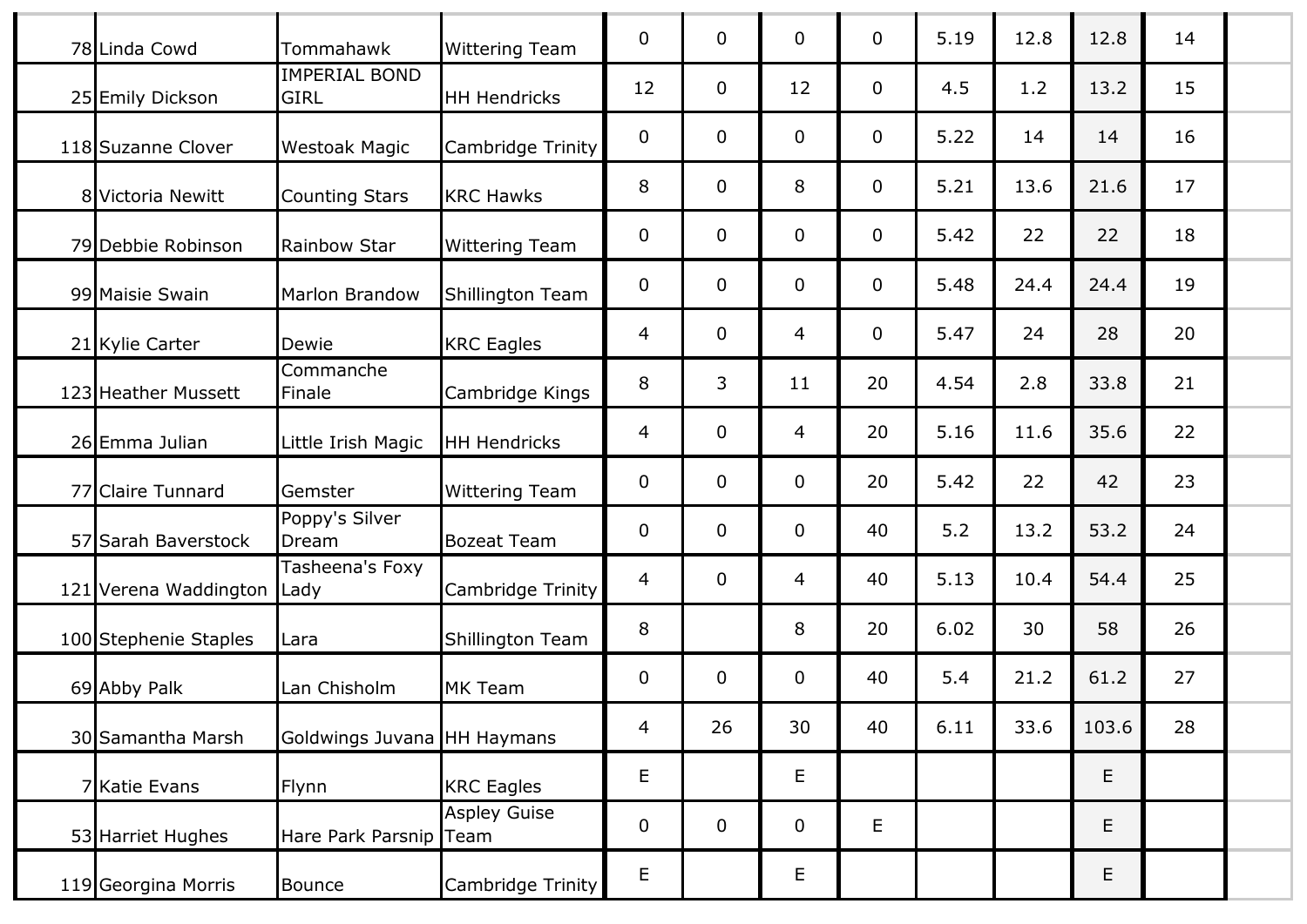| 78 Linda Cowd              | Tommahawk                           | <b>Wittering Team</b>    | $\mathbf 0$ | $\mathbf 0$ | $\mathbf 0$    | $\mathbf 0$    | 5.19 | 12.8 | 12.8  | 14 |  |
|----------------------------|-------------------------------------|--------------------------|-------------|-------------|----------------|----------------|------|------|-------|----|--|
| 25 Emily Dickson           | <b>IMPERIAL BOND</b><br><b>GIRL</b> | <b>HH Hendricks</b>      | 12          | $\mathbf 0$ | 12             | $\overline{0}$ | 4.5  | 1.2  | 13.2  | 15 |  |
| 118 Suzanne Clover         | <b>Westoak Magic</b>                | <b>Cambridge Trinity</b> | 0           | $\mathbf 0$ | $\mathbf 0$    | $\overline{0}$ | 5.22 | 14   | 14    | 16 |  |
| 8 Victoria Newitt          | <b>Counting Stars</b>               | <b>KRC Hawks</b>         | 8           | $\mathbf 0$ | 8              | $\mathbf 0$    | 5.21 | 13.6 | 21.6  | 17 |  |
| 79 Debbie Robinson         | Rainbow Star                        | <b>Wittering Team</b>    | $\mathbf 0$ | $\mathbf 0$ | $\mathbf 0$    | $\overline{0}$ | 5.42 | 22   | 22    | 18 |  |
| 99 Maisie Swain            | <b>Marlon Brandow</b>               | Shillington Team         | $\mathbf 0$ | $\mathbf 0$ | $\mathbf 0$    | $\mathbf 0$    | 5.48 | 24.4 | 24.4  | 19 |  |
| 21 Kylie Carter            | Dewie                               | <b>KRC Eagles</b>        | 4           | $\mathbf 0$ | 4              | $\mathbf 0$    | 5.47 | 24   | 28    | 20 |  |
| 123 Heather Mussett        | Commanche<br>Finale                 | Cambridge Kings          | 8           | 3           | 11             | 20             | 4.54 | 2.8  | 33.8  | 21 |  |
| 26 Emma Julian             | Little Irish Magic                  | <b>HH Hendricks</b>      | 4           | $\mathbf 0$ | $\overline{4}$ | 20             | 5.16 | 11.6 | 35.6  | 22 |  |
| 77 Claire Tunnard          | Gemster                             | <b>Wittering Team</b>    | $\mathbf 0$ | $\mathbf 0$ | $\mathbf 0$    | 20             | 5.42 | 22   | 42    | 23 |  |
| 57 Sarah Baverstock        | Poppy's Silver<br>Dream             | <b>Bozeat Team</b>       | 0           | $\mathbf 0$ | $\mathbf 0$    | 40             | 5.2  | 13.2 | 53.2  | 24 |  |
| 121 Verena Waddington Lady | Tasheena's Foxy                     | Cambridge Trinity        | 4           | $\mathbf 0$ | 4              | 40             | 5.13 | 10.4 | 54.4  | 25 |  |
| 100 Stephenie Staples      | Lara                                | Shillington Team         | 8           |             | 8              | 20             | 6.02 | 30   | 58    | 26 |  |
| 69 Abby Palk               | Lan Chisholm                        | <b>MK Team</b>           | $\mathbf 0$ | $\mathbf 0$ | $\mathbf 0$    | 40             | 5.4  | 21.2 | 61.2  | 27 |  |
| 30 Samantha Marsh          | Goldwings Juvana HH Haymans         |                          | 4           | 26          | 30             | 40             | 6.11 | 33.6 | 103.6 | 28 |  |
| 7 Katie Evans              | Flynn                               | <b>KRC Eagles</b>        | E           |             | E              |                |      |      | E     |    |  |
| 53 Harriet Hughes          | Hare Park Parsnip Team              | <b>Aspley Guise</b>      | 0           | $\mathbf 0$ | $\mathbf 0$    | E              |      |      | E     |    |  |
| 119 Georgina Morris        | Bounce                              | Cambridge Trinity        | Ε           |             | Е              |                |      |      | E     |    |  |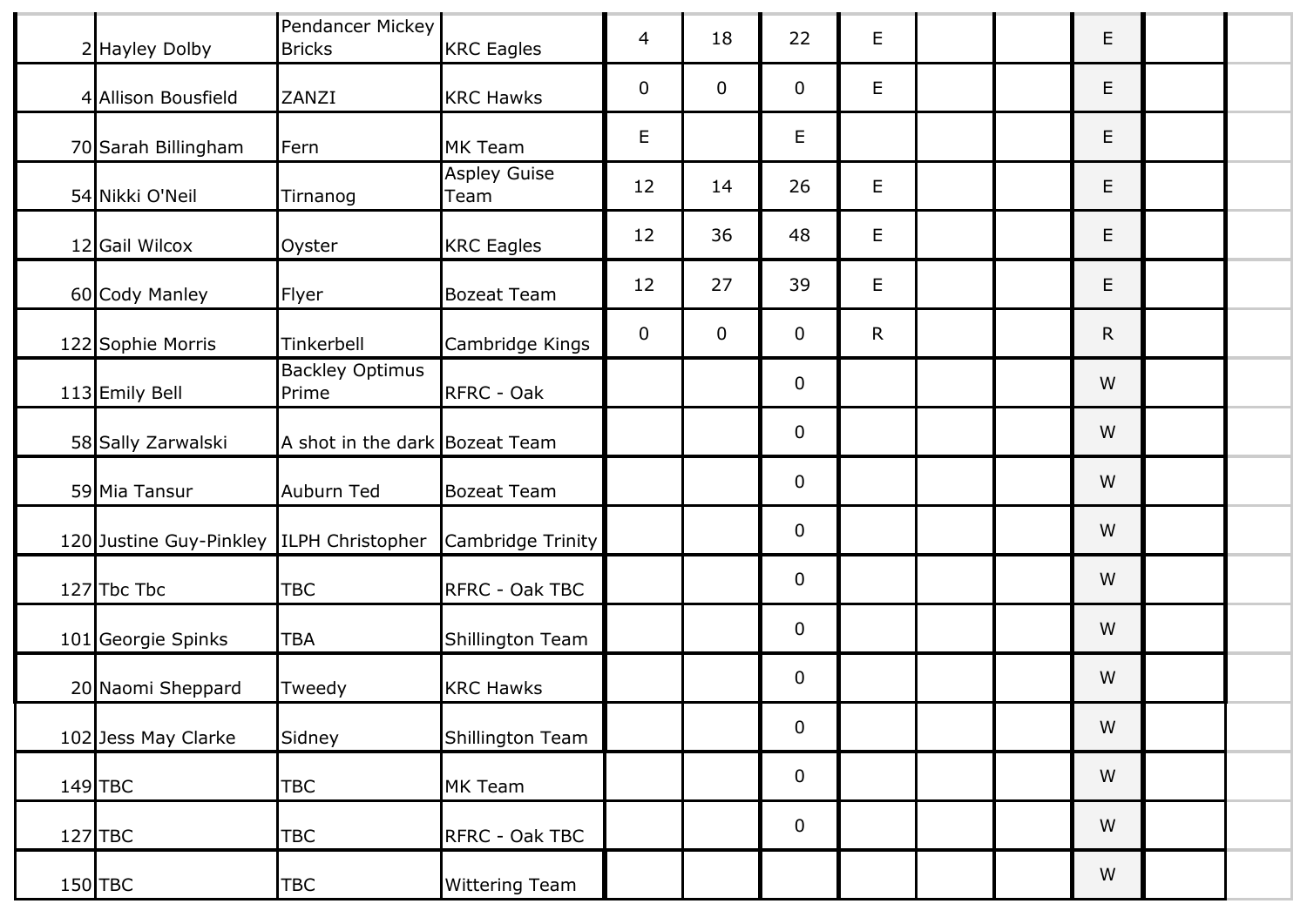| 2 Hayley Dolby                           | Pendancer Mickey<br><b>Bricks</b> | <b>KRC Eagles</b>           | 4           | 18             | 22          | E            |  | $\mathsf E$  |  |
|------------------------------------------|-----------------------------------|-----------------------------|-------------|----------------|-------------|--------------|--|--------------|--|
| 4 Allison Bousfield                      | ZANZI                             | <b>KRC Hawks</b>            | $\mathbf 0$ | $\overline{0}$ | $\mathbf 0$ | E            |  | E            |  |
| 70 Sarah Billingham                      | Fern                              | <b>MK Team</b>              | E           |                | E           |              |  | E            |  |
| 54 Nikki O'Neil                          | Tirnanog                          | <b>Aspley Guise</b><br>Team | 12          | 14             | 26          | E            |  | E            |  |
| 12 Gail Wilcox                           | Oyster                            | <b>KRC Eagles</b>           | 12          | 36             | 48          | E            |  | E            |  |
| 60 Cody Manley                           | Flyer                             | <b>Bozeat Team</b>          | 12          | 27             | 39          | E            |  | E            |  |
| 122 Sophie Morris                        | Tinkerbell                        | Cambridge Kings             | $\mathbf 0$ | $\mathbf 0$    | $\mathbf 0$ | $\mathsf{R}$ |  | $\mathsf{R}$ |  |
| 113 Emily Bell                           | <b>Backley Optimus</b><br>Prime   | RFRC - Oak                  |             |                | $\mathbf 0$ |              |  | W            |  |
| 58 Sally Zarwalski                       | A shot in the dark Bozeat Team    |                             |             |                | $\mathbf 0$ |              |  | W            |  |
| 59 Mia Tansur                            | <b>Auburn Ted</b>                 | <b>Bozeat Team</b>          |             |                | $\mathbf 0$ |              |  | W            |  |
| 120 Justine Guy-Pinkley ILPH Christopher |                                   | Cambridge Trinity           |             |                | $\mathbf 0$ |              |  | W            |  |
| 127 Tbc Tbc                              | <b>TBC</b>                        | RFRC - Oak TBC              |             |                | $\mathbf 0$ |              |  | W            |  |
| 101 Georgie Spinks                       | <b>TBA</b>                        | Shillington Team            |             |                | $\mathbf 0$ |              |  | W            |  |
| 20 Naomi Sheppard                        | Tweedy                            | <b>KRC Hawks</b>            |             |                | $\mathbf 0$ |              |  | W            |  |
| 102 Jess May Clarke                      | Sidney                            | Shillington Team            |             |                | $\mathbf 0$ |              |  | W            |  |
| $149$ TBC                                | <b>TBC</b>                        | MK Team                     |             |                | $\mathbf 0$ |              |  | W            |  |
| $127$ TBC                                | <b>TBC</b>                        | RFRC - Oak TBC              |             |                | $\mathbf 0$ |              |  | W            |  |
| $150$ TBC                                | <b>TBC</b>                        | <b>Wittering Team</b>       |             |                |             |              |  | W            |  |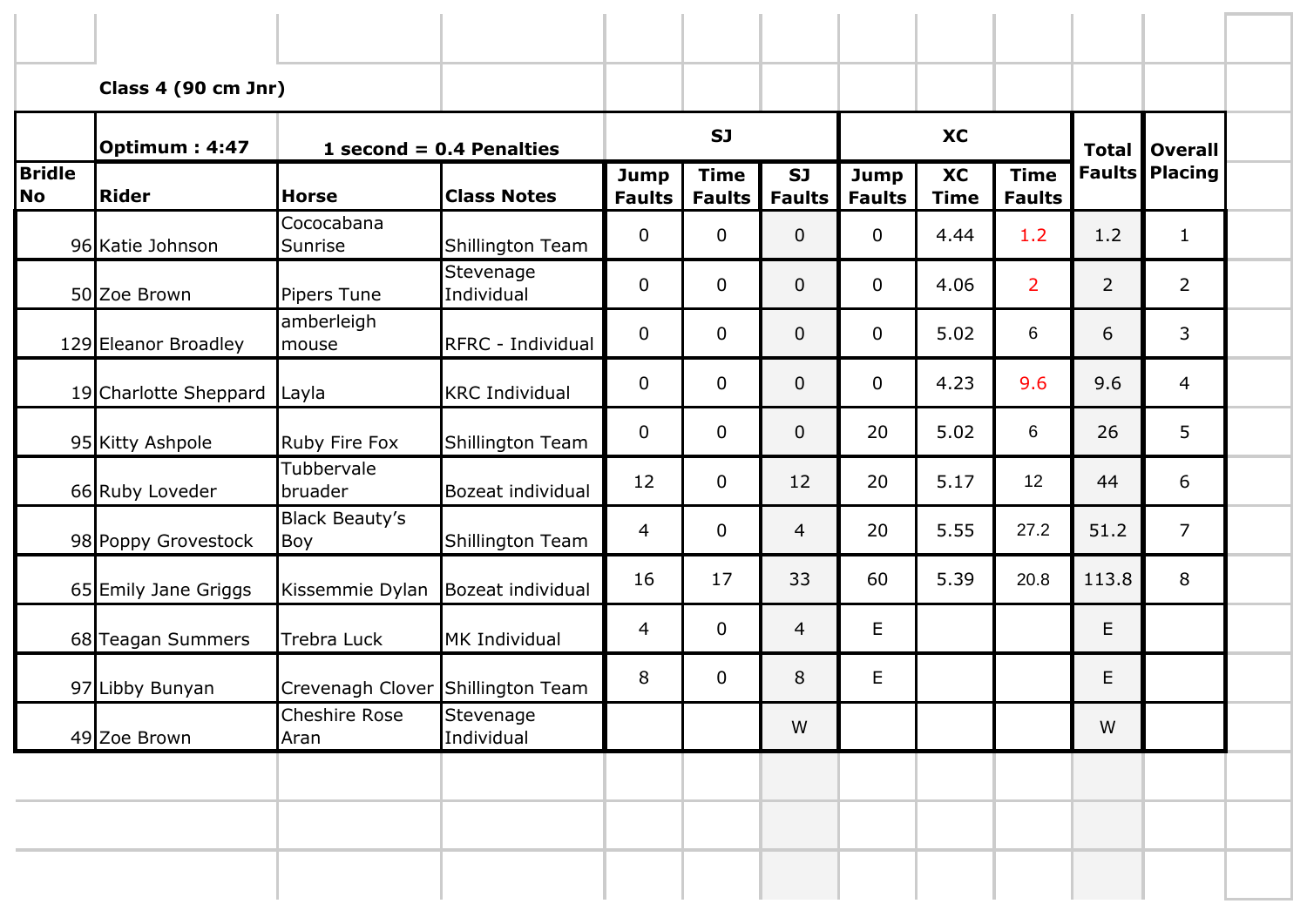|                            | Class 4 (90 cm Jnr)   |                                   |                            |                       |                              |                            |                       |                          |                              |                |                  |
|----------------------------|-----------------------|-----------------------------------|----------------------------|-----------------------|------------------------------|----------------------------|-----------------------|--------------------------|------------------------------|----------------|------------------|
|                            | Optimum: 4:47         |                                   | 1 second = $0.4$ Penalties |                       | <b>SJ</b>                    |                            |                       | <b>XC</b>                |                              | <b>Total</b>   | <b>Overall</b>   |
| <b>Bridle</b><br><b>No</b> | Rider                 | <b>Horse</b>                      | <b>Class Notes</b>         | Jump<br><b>Faults</b> | <b>Time</b><br><b>Faults</b> | <b>SJ</b><br><b>Faults</b> | Jump<br><b>Faults</b> | <b>XC</b><br><b>Time</b> | <b>Time</b><br><b>Faults</b> |                | Faults   Placing |
|                            | 96 Katie Johnson      | Cococabana<br>Sunrise             | Shillington Team           | $\overline{0}$        | $\mathbf 0$                  | $\overline{0}$             | $\overline{0}$        | 4.44                     | 1.2                          | 1.2            | $\mathbf{1}$     |
|                            | 50 Zoe Brown          | <b>Pipers Tune</b>                | Stevenage<br>Individual    | $\overline{0}$        | $\overline{0}$               | $\overline{0}$             | $\mathbf 0$           | 4.06                     | $\overline{2}$               | $\overline{2}$ | $\overline{2}$   |
|                            | 129 Eleanor Broadley  | amberleigh<br>mouse               | RFRC - Individual          | $\overline{0}$        | $\mathbf 0$                  | $\overline{0}$             | $\mathbf 0$           | 5.02                     | 6                            | 6              | 3                |
|                            | 19 Charlotte Sheppard | Layla                             | <b>KRC</b> Individual      | $\overline{0}$        | $\mathbf 0$                  | $\overline{0}$             | $\mathbf 0$           | 4.23                     | 9.6                          | 9.6            | $\overline{4}$   |
|                            | 95 Kitty Ashpole      | Ruby Fire Fox                     | Shillington Team           | $\overline{0}$        | $\mathbf 0$                  | $\overline{0}$             | 20                    | 5.02                     | 6                            | 26             | 5                |
|                            | 66 Ruby Loveder       | Tubbervale<br>bruader             | Bozeat individual          | 12                    | $\mathbf 0$                  | 12                         | 20                    | 5.17                     | 12                           | 44             | 6                |
|                            | 98 Poppy Grovestock   | <b>Black Beauty's</b><br>Boy      | Shillington Team           | $\overline{4}$        | $\mathbf 0$                  | $\overline{4}$             | 20                    | 5.55                     | 27.2                         | 51.2           | $\overline{7}$   |
|                            | 65 Emily Jane Griggs  | Kissemmie Dylan                   | Bozeat individual          | 16                    | 17                           | 33                         | 60                    | 5.39                     | 20.8                         | 113.8          | 8                |
|                            | 68 Teagan Summers     | Trebra Luck                       | <b>MK Individual</b>       | $\overline{4}$        | $\overline{0}$               | $\overline{4}$             | E                     |                          |                              | E              |                  |
|                            | 97 Libby Bunyan       | Crevenagh Clover Shillington Team |                            | 8                     | $\mathbf 0$                  | 8                          | E                     |                          |                              | E              |                  |
|                            | 49 Zoe Brown          | <b>Cheshire Rose</b><br>Aran      | Stevenage<br>Individual    |                       |                              | W                          |                       |                          |                              | W              |                  |
|                            |                       |                                   |                            |                       |                              |                            |                       |                          |                              |                |                  |
|                            |                       |                                   |                            |                       |                              |                            |                       |                          |                              |                |                  |
|                            |                       |                                   |                            |                       |                              |                            |                       |                          |                              |                |                  |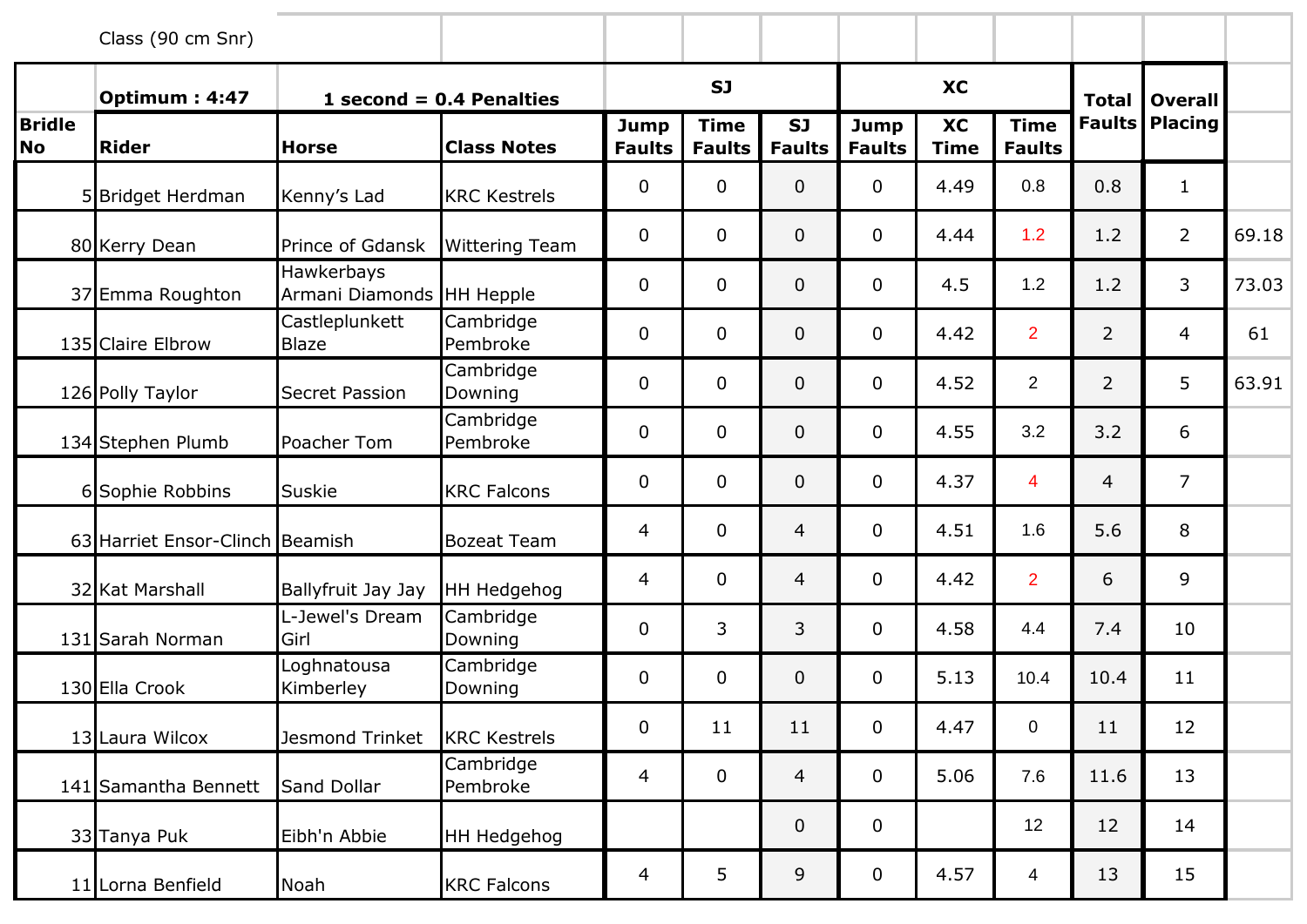|                            | Class (90 cm Snr)               |                                         |                            |                       |                              |                            |                       |                          |                              |                |                |       |
|----------------------------|---------------------------------|-----------------------------------------|----------------------------|-----------------------|------------------------------|----------------------------|-----------------------|--------------------------|------------------------------|----------------|----------------|-------|
|                            | Optimum: 4:47                   |                                         | 1 second = $0.4$ Penalties |                       | <b>SJ</b>                    |                            |                       | <b>XC</b>                |                              | <b>Total</b>   | <b>Overall</b> |       |
| <b>Bridle</b><br><b>No</b> | <b>Rider</b>                    | <b>Horse</b>                            | <b>Class Notes</b>         | Jump<br><b>Faults</b> | <b>Time</b><br><b>Faults</b> | <b>SJ</b><br><b>Faults</b> | Jump<br><b>Faults</b> | <b>XC</b><br><b>Time</b> | <b>Time</b><br><b>Faults</b> | <b>Faults</b>  | <b>Placing</b> |       |
|                            | 5 Bridget Herdman               | Kenny's Lad                             | <b>KRC Kestrels</b>        | $\mathbf 0$           | $\mathbf 0$                  | $\overline{0}$             | 0                     | 4.49                     | 0.8                          | 0.8            | $\mathbf{1}$   |       |
|                            | 80 Kerry Dean                   | Prince of Gdansk                        | <b>Wittering Team</b>      | $\mathbf 0$           | $\mathbf 0$                  | $\mathbf 0$                | $\mathbf 0$           | 4.44                     | 1.2                          | 1.2            | $\overline{2}$ | 69.18 |
|                            | 37 Emma Roughton                | Hawkerbays<br>Armani Diamonds HH Hepple |                            | $\mathbf 0$           | $\mathbf 0$                  | $\overline{0}$             | 0                     | 4.5                      | 1.2                          | 1.2            | 3              | 73.03 |
|                            | 135 Claire Elbrow               | Castleplunkett<br><b>Blaze</b>          | Cambridge<br>Pembroke      | $\mathbf 0$           | $\overline{0}$               | $\overline{0}$             | 0                     | 4.42                     | $\overline{2}$               | $\overline{2}$ | 4              | 61    |
|                            | 126 Polly Taylor                | <b>Secret Passion</b>                   | Cambridge<br>Downing       | $\mathbf 0$           | $\mathbf 0$                  | $\overline{0}$             | $\mathbf 0$           | 4.52                     | $\overline{2}$               | $\overline{2}$ | 5              | 63.91 |
|                            | 134 Stephen Plumb               | Poacher Tom                             | Cambridge<br>Pembroke      | $\mathbf 0$           | $\overline{0}$               | $\overline{0}$             | $\mathbf 0$           | 4.55                     | 3.2                          | 3.2            | 6              |       |
|                            | 6 Sophie Robbins                | <b>Suskie</b>                           | <b>KRC Falcons</b>         | $\mathbf 0$           | $\overline{0}$               | $\overline{0}$             | $\mathbf 0$           | 4.37                     | 4                            | $\overline{4}$ | 7              |       |
|                            | 63 Harriet Ensor-Clinch Beamish |                                         | <b>Bozeat Team</b>         | 4                     | $\mathbf 0$                  | 4                          | $\boldsymbol{0}$      | 4.51                     | 1.6                          | 5.6            | 8              |       |
|                            | 32 Kat Marshall                 | Ballyfruit Jay Jay                      | <b>HH Hedgehog</b>         | 4                     | $\mathbf 0$                  | $\overline{4}$             | $\overline{0}$        | 4.42                     | $\overline{2}$               | 6              | 9              |       |
|                            | 131 Sarah Norman                | L-Jewel's Dream<br>Girl                 | Cambridge<br>Downing       | $\mathbf 0$           | 3                            | 3                          | 0                     | 4.58                     | 4.4                          | 7.4            | 10             |       |
|                            | 130 Ella Crook                  | Loghnatousa<br>Kimberley                | Cambridge<br>Downing       | $\mathbf 0$           | $\mathbf 0$                  | $\mathbf 0$                | 0                     | 5.13                     | 10.4                         | 10.4           | 11             |       |
|                            | 13 Laura Wilcox                 | Jesmond Trinket                         | <b>KRC Kestrels</b>        | $\bf{0}$              | 11                           | 11                         | $\pmb{0}$             | 4.47                     | $\pmb{0}$                    | 11             | 12             |       |
|                            | 141 Samantha Bennett            | <b>Sand Dollar</b>                      | Cambridge<br>Pembroke      | 4                     | $\mathbf 0$                  | 4                          | $\boldsymbol{0}$      | 5.06                     | 7.6                          | 11.6           | 13             |       |
|                            | 33 Tanya Puk                    | Eibh'n Abbie                            | HH Hedgehog                |                       |                              | $\mathbf 0$                | $\mathbf 0$           |                          | 12                           | 12             | 14             |       |
|                            | 11 Lorna Benfield               | Noah                                    | <b>KRC Falcons</b>         | 4                     | 5                            | 9                          | $\pmb{0}$             | 4.57                     | $\overline{4}$               | 13             | 15             |       |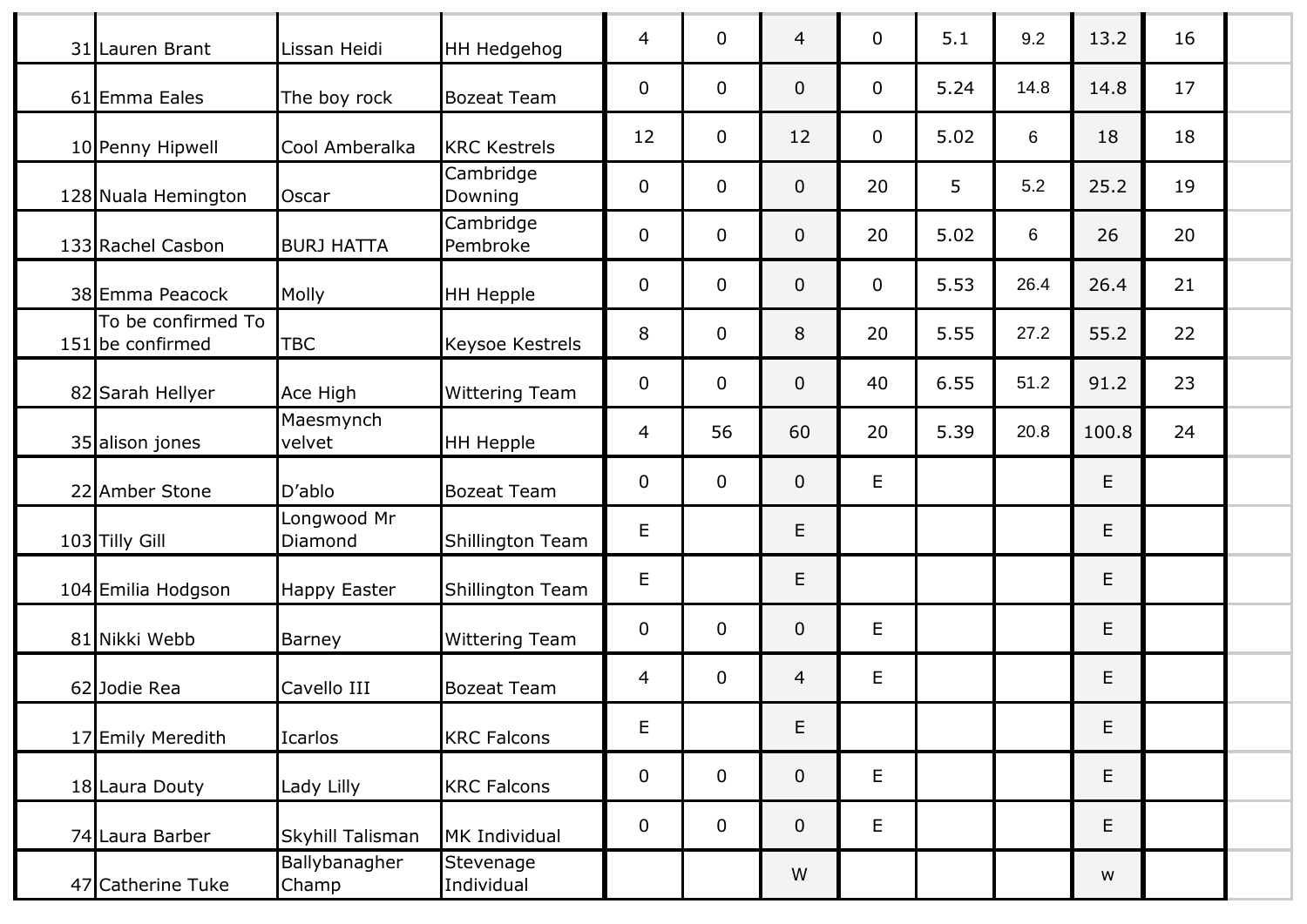|                | 31 Lauren Brant                        | Lissan Heidi           | HH Hedgehog             | 4           | $\mathbf 0$ | $\overline{4}$ | $\mathbf 0$ | 5.1  | 9.2  | 13.2  | 16 |  |
|----------------|----------------------------------------|------------------------|-------------------------|-------------|-------------|----------------|-------------|------|------|-------|----|--|
|                | 61 Emma Eales                          | The boy rock           | <b>Bozeat Team</b>      | $\mathbf 0$ | $\mathbf 0$ | $\overline{0}$ | $\mathbf 0$ | 5.24 | 14.8 | 14.8  | 17 |  |
|                | 10 Penny Hipwell                       | Cool Amberalka         | <b>KRC Kestrels</b>     | 12          | $\mathbf 0$ | 12             | $\mathbf 0$ | 5.02 | 6    | 18    | 18 |  |
|                | 128 Nuala Hemington                    | Oscar                  | Cambridge<br>Downing    | $\mathbf 0$ | $\mathbf 0$ | $\mathbf 0$    | 20          | 5    | 5.2  | 25.2  | 19 |  |
|                | 133 Rachel Casbon                      | <b>BURJ HATTA</b>      | Cambridge<br>Pembroke   | $\mathbf 0$ | $\pmb{0}$   | $\overline{0}$ | 20          | 5.02 | 6    | 26    | 20 |  |
|                | 38 Emma Peacock                        | Molly                  | <b>HH Hepple</b>        | $\mathbf 0$ | $\mathbf 0$ | $\overline{0}$ | $\mathbf 0$ | 5.53 | 26.4 | 26.4  | 21 |  |
|                | To be confirmed To<br>151 be confirmed | <b>TBC</b>             | <b>Keysoe Kestrels</b>  | 8           | 0           | 8              | 20          | 5.55 | 27.2 | 55.2  | 22 |  |
|                | 82 Sarah Hellyer                       | Ace High               | <b>Wittering Team</b>   | $\mathbf 0$ | $\mathbf 0$ | $\overline{0}$ | 40          | 6.55 | 51.2 | 91.2  | 23 |  |
|                | 35 alison jones                        | Maesmynch<br>velvet    | <b>HH Hepple</b>        | 4           | 56          | 60             | 20          | 5.39 | 20.8 | 100.8 | 24 |  |
|                | 22 Amber Stone                         | D'ablo                 | <b>Bozeat Team</b>      | $\mathbf 0$ | $\mathbf 0$ | $\overline{0}$ | E           |      |      | E     |    |  |
| 103 Tilly Gill |                                        | Longwood Mr<br>Diamond | Shillington Team        | E           |             | E              |             |      |      | E     |    |  |
|                | 104 Emilia Hodgson                     | <b>Happy Easter</b>    | Shillington Team        | E           |             | E              |             |      |      | E.    |    |  |
|                | 81 Nikki Webb                          | <b>Barney</b>          | <b>Wittering Team</b>   | $\mathbf 0$ | 0           | $\overline{0}$ | E           |      |      | E     |    |  |
|                | 62 Jodie Rea                           | Cavello III            | <b>Bozeat Team</b>      | 4           | 0           | $\overline{4}$ | E           |      |      | E     |    |  |
|                | 17 Emily Meredith                      | Icarlos                | <b>KRC Falcons</b>      | E           |             | E              |             |      |      | E     |    |  |
|                | 18 Laura Douty                         | Lady Lilly             | <b>KRC Falcons</b>      | $\mathbf 0$ | $\mathbf 0$ | $\overline{0}$ | E           |      |      | E     |    |  |
|                | 74 Laura Barber                        | Skyhill Talisman       | <b>MK Individual</b>    | $\mathbf 0$ | $\mathbf 0$ | $\overline{0}$ | E           |      |      | E     |    |  |
|                | 47 Catherine Tuke                      | Ballybanagher<br>Champ | Stevenage<br>Individual |             |             | ${\sf W}$      |             |      |      | W     |    |  |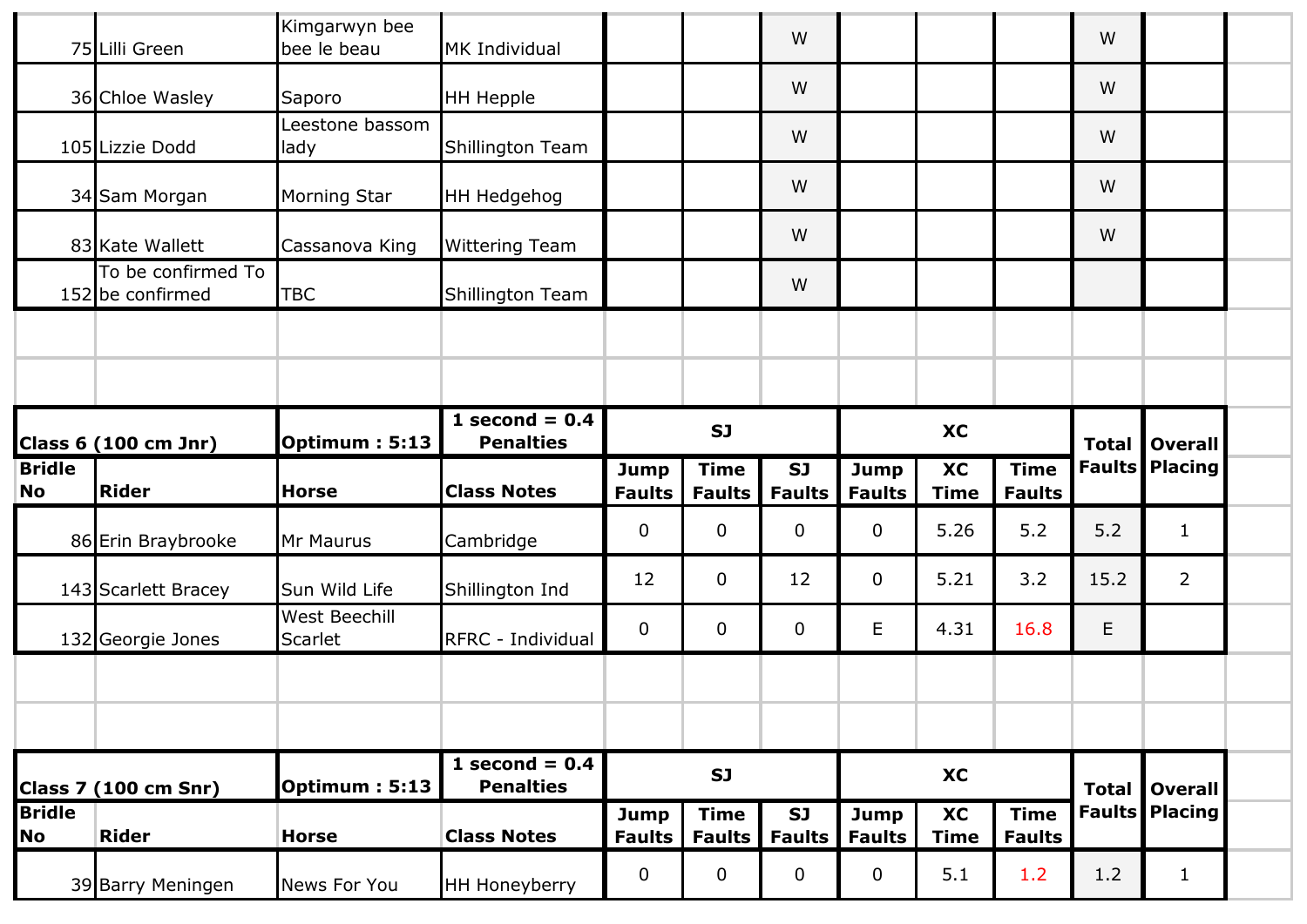| <b>Bridle</b><br><b>No</b> | <b>Class 7 (100 cm Snr)</b><br><b>Rider</b> | <b>Optimum: 5:13</b><br><b>Horse</b>  | 1 second = $0.4$<br><b>Penalties</b><br><b>Class Notes</b> | Jump<br><b>Faults</b> | <b>SJ</b><br><b>Time</b><br><b>Faults</b> | <b>SJ</b><br><b>Faults</b> | <b>Jump</b><br><b>Faults</b> | <b>XC</b><br><b>XC</b><br><b>Time</b> | <b>Time</b><br><b>Faults</b> | <b>Total</b> | <b>Overall</b><br><b>Faults Placing</b> |
|----------------------------|---------------------------------------------|---------------------------------------|------------------------------------------------------------|-----------------------|-------------------------------------------|----------------------------|------------------------------|---------------------------------------|------------------------------|--------------|-----------------------------------------|
|                            |                                             |                                       |                                                            |                       |                                           |                            |                              |                                       |                              |              |                                         |
|                            |                                             |                                       |                                                            |                       |                                           |                            |                              |                                       |                              |              |                                         |
|                            |                                             |                                       |                                                            |                       |                                           |                            |                              |                                       |                              |              |                                         |
|                            | 132 Georgie Jones                           | Scarlet                               | RFRC - Individual                                          | $\mathbf 0$           | $\mathbf 0$                               | $\mathbf 0$                | E                            | 4.31                                  | 16.8                         | E            |                                         |
|                            | 143 Scarlett Bracey                         | Sun Wild Life<br><b>West Beechill</b> | Shillington Ind                                            | 12                    | $\mathbf 0$                               | 12                         | $\overline{0}$               | 5.21                                  | 3.2                          | 15.2         | $\overline{2}$                          |
|                            | 86 Erin Braybrooke                          | Mr Maurus                             | Cambridge                                                  | $\mathbf 0$           | $\mathbf 0$                               | $\mathbf 0$                | $\mathbf 0$                  | 5.26                                  | 5.2                          | 5.2          | $\mathbf{1}$                            |
| <b>Bridle</b><br><b>No</b> | <b>Rider</b>                                | <b>Horse</b>                          | <b>Class Notes</b>                                         | Jump<br><b>Faults</b> | <b>Time</b><br><b>Faults</b>              | <b>SJ</b><br><b>Faults</b> | <b>Jump</b><br><b>Faults</b> | <b>XC</b><br><b>Time</b>              | <b>Time</b><br><b>Faults</b> |              | <b>Faults Placing</b>                   |
|                            | Class 6 (100 cm Jnr)                        | <b>Optimum: 5:13</b>                  | $1$ second = $0.4$<br><b>Penalties</b>                     |                       | <b>SJ</b>                                 |                            |                              | <b>XC</b>                             |                              | <b>Total</b> | <b>Overall</b>                          |
|                            |                                             |                                       |                                                            |                       |                                           |                            |                              |                                       |                              |              |                                         |
|                            |                                             |                                       |                                                            |                       |                                           |                            |                              |                                       |                              |              |                                         |
|                            | To be confirmed To<br>152 be confirmed      | <b>TBC</b>                            | Shillington Team                                           |                       |                                           | W                          |                              |                                       |                              |              |                                         |
|                            | 83 Kate Wallett                             | Cassanova King                        | <b>Wittering Team</b>                                      |                       |                                           | W                          |                              |                                       |                              | W            |                                         |
|                            | 34 Sam Morgan                               | Morning Star                          | <b>HH Hedgehog</b>                                         |                       |                                           | W                          |                              |                                       |                              | W            |                                         |
|                            | 105 Lizzie Dodd                             | Leestone bassom<br>lady               | Shillington Team                                           |                       |                                           | W                          |                              |                                       |                              | W            |                                         |
|                            | 36 Chloe Wasley                             | Saporo                                | <b>HH Hepple</b>                                           |                       |                                           | W                          |                              |                                       |                              | W            |                                         |
|                            | 75 Lilli Green                              | bee le beau                           | <b>MK Individual</b>                                       |                       |                                           | W                          |                              |                                       |                              | W            |                                         |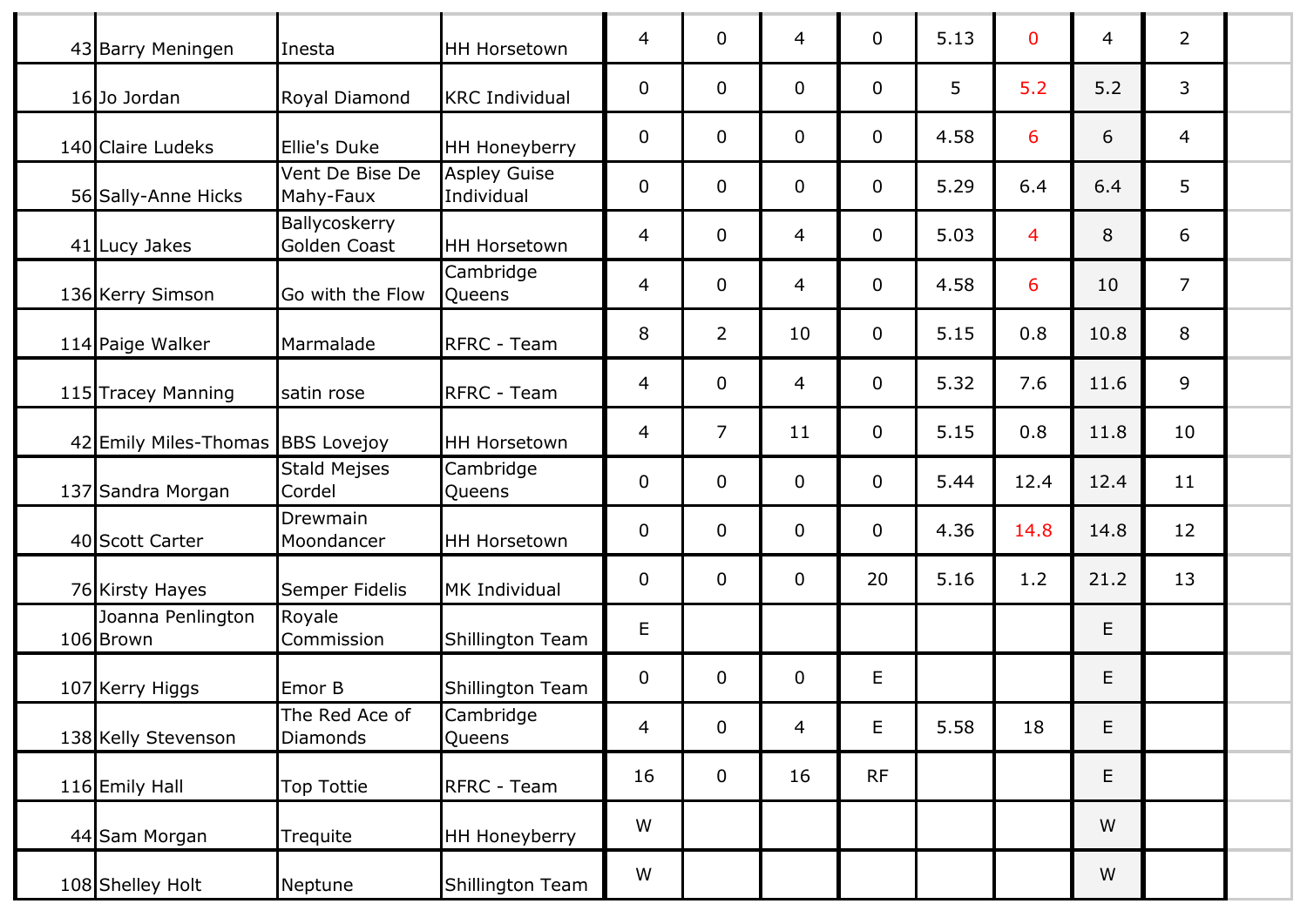| 43 Barry Meningen                 | Inesta                            | <b>HH Horsetown</b>               | 4                | $\mathbf 0$    | 4              | $\overline{0}$ | 5.13 | $\overline{0}$ | 4    | $\overline{2}$ |  |
|-----------------------------------|-----------------------------------|-----------------------------------|------------------|----------------|----------------|----------------|------|----------------|------|----------------|--|
| 16 Jo Jordan                      | Royal Diamond                     | <b>KRC</b> Individual             | $\mathbf 0$      | $\mathbf 0$    | $\overline{0}$ | $\mathbf 0$    | 5    | 5.2            | 5.2  | 3              |  |
| 140 Claire Ludeks                 | Ellie's Duke                      | <b>HH Honeyberry</b>              | 0                | $\mathbf 0$    | $\mathbf 0$    | $\overline{0}$ | 4.58 | 6              | 6    | 4              |  |
| 56 Sally-Anne Hicks               | Vent De Bise De<br>Mahy-Faux      | <b>Aspley Guise</b><br>Individual | $\boldsymbol{0}$ | $\mathbf 0$    | $\overline{0}$ | $\mathbf 0$    | 5.29 | 6.4            | 6.4  | 5              |  |
| 41 Lucy Jakes                     | Ballycoskerry<br>Golden Coast     | <b>HH Horsetown</b>               | 4                | $\mathbf 0$    | 4              | $\mathbf 0$    | 5.03 | 4              | 8    | 6              |  |
| 136 Kerry Simson                  | Go with the Flow                  | Cambridge<br>Queens               | 4                | $\mathbf 0$    | 4              | $\mathbf 0$    | 4.58 | 6              | 10   | $\overline{7}$ |  |
| 114 Paige Walker                  | Marmalade                         | RFRC - Team                       | 8                | $\overline{2}$ | 10             | $\mathbf 0$    | 5.15 | 0.8            | 10.8 | 8              |  |
| 115 Tracey Manning                | satin rose                        | <b>RFRC</b> - Team                | 4                | $\mathbf 0$    | 4              | $\mathbf 0$    | 5.32 | 7.6            | 11.6 | 9              |  |
| 42 Emily Miles-Thomas BBS Lovejoy |                                   | <b>HH Horsetown</b>               | 4                | $\overline{7}$ | 11             | $\overline{0}$ | 5.15 | 0.8            | 11.8 | 10             |  |
| 137 Sandra Morgan                 | <b>Stald Mejses</b><br>Cordel     | Cambridge<br>Queens               | 0                | $\mathbf 0$    | $\overline{0}$ | $\overline{0}$ | 5.44 | 12.4           | 12.4 | 11             |  |
| 40 Scott Carter                   | Drewmain<br>Moondancer            | <b>HH Horsetown</b>               | 0                | $\mathbf 0$    | $\mathbf 0$    | $\mathbf 0$    | 4.36 | 14.8           | 14.8 | 12             |  |
| 76 Kirsty Hayes                   | Semper Fidelis                    | MK Individual                     | $\mathbf 0$      | $\mathbf 0$    | $\overline{0}$ | 20             | 5.16 | 1.2            | 21.2 | 13             |  |
| Joanna Penlington<br>106 Brown    | Royale<br>Commission              | Shillington Team                  | E                |                |                |                |      |                | E    |                |  |
| 107 Kerry Higgs                   | Emor B                            | Shillington Team                  | 0                | $\mathbf 0$    | $\mathbf 0$    | E              |      |                | E    |                |  |
| 138 Kelly Stevenson               | The Red Ace of<br><b>Diamonds</b> | Cambridge<br>Queens               | 4                | $\mathbf 0$    | $\overline{4}$ | E              | 5.58 | 18             | E    |                |  |
| 116 Emily Hall                    | <b>Top Tottie</b>                 | RFRC - Team                       | 16               | $\mathbf 0$    | 16             | <b>RF</b>      |      |                | E    |                |  |
| 44 Sam Morgan                     | Trequite                          | HH Honeyberry                     | W                |                |                |                |      |                | W    |                |  |
| 108 Shelley Holt                  | Neptune                           | Shillington Team                  | ${\sf W}$        |                |                |                |      |                | W    |                |  |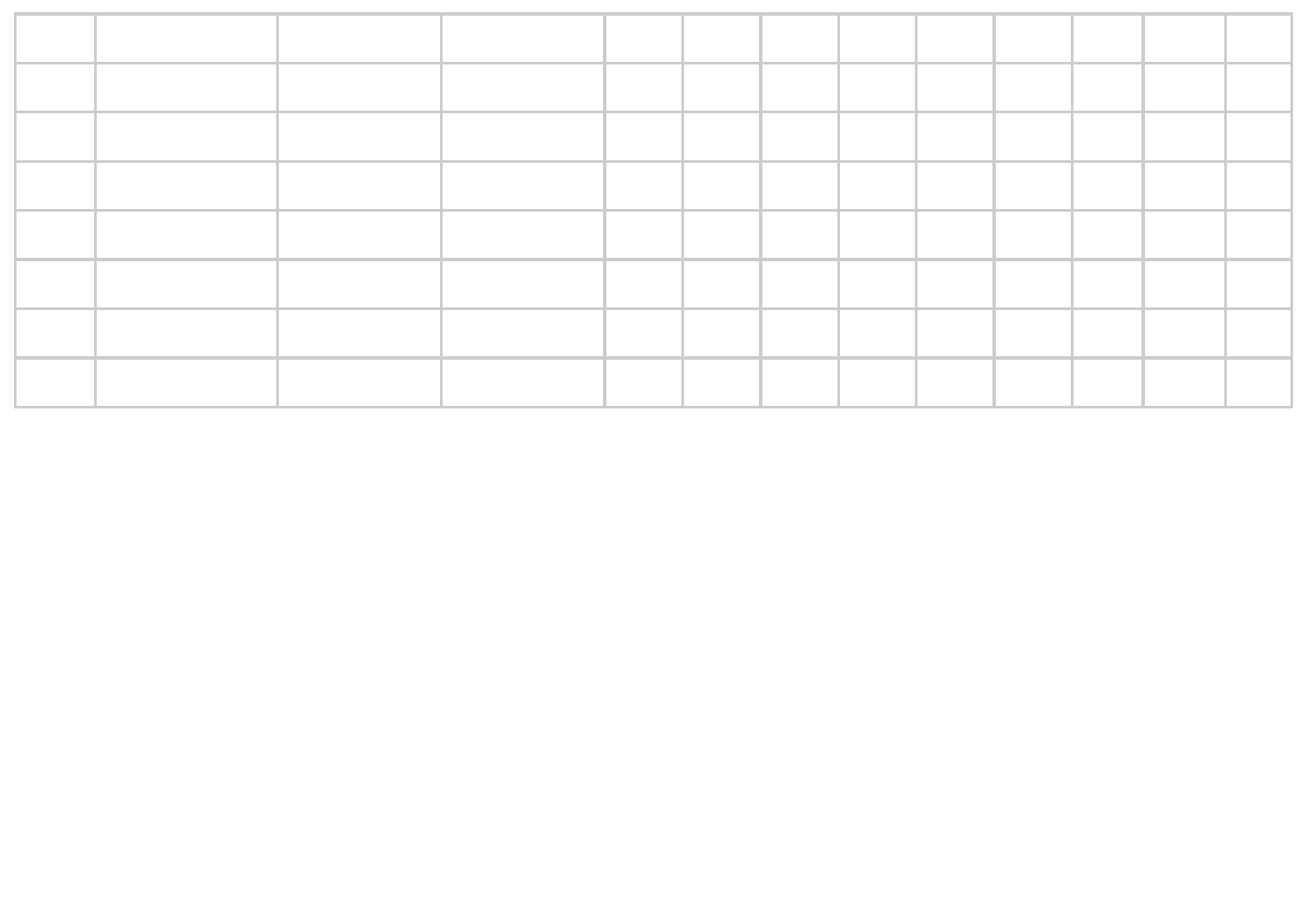| the company of the company of                | the contract of the contract of the contract of the contract of the contract of                                      |                                                                                                                 |                                                                                 |                                                  |  |  |  |  |
|----------------------------------------------|----------------------------------------------------------------------------------------------------------------------|-----------------------------------------------------------------------------------------------------------------|---------------------------------------------------------------------------------|--------------------------------------------------|--|--|--|--|
|                                              |                                                                                                                      | the contract of the contract of the contract of the contract of the contract of the contract of the contract of | the control of the control of the control of                                    | and the control of the control of the control of |  |  |  |  |
| the control of the control of the con-       |                                                                                                                      |                                                                                                                 |                                                                                 |                                                  |  |  |  |  |
| the company of the company of the            |                                                                                                                      |                                                                                                                 |                                                                                 |                                                  |  |  |  |  |
| the company of the company                   | <u> 1989 - Andrea Santa Andrea Andrea Andrea Andrea Andrea Andrea Andrea Andrea Andrea Andrea Andrea Andrea Andr</u> |                                                                                                                 |                                                                                 |                                                  |  |  |  |  |
| the control of the control of the            |                                                                                                                      |                                                                                                                 | the contract of the contract of the contract of the contract of the contract of |                                                  |  |  |  |  |
| the control of the control of                |                                                                                                                      |                                                                                                                 |                                                                                 |                                                  |  |  |  |  |
| the control of the control of the control of |                                                                                                                      |                                                                                                                 |                                                                                 | <b>Contract Contract Contract</b>                |  |  |  |  |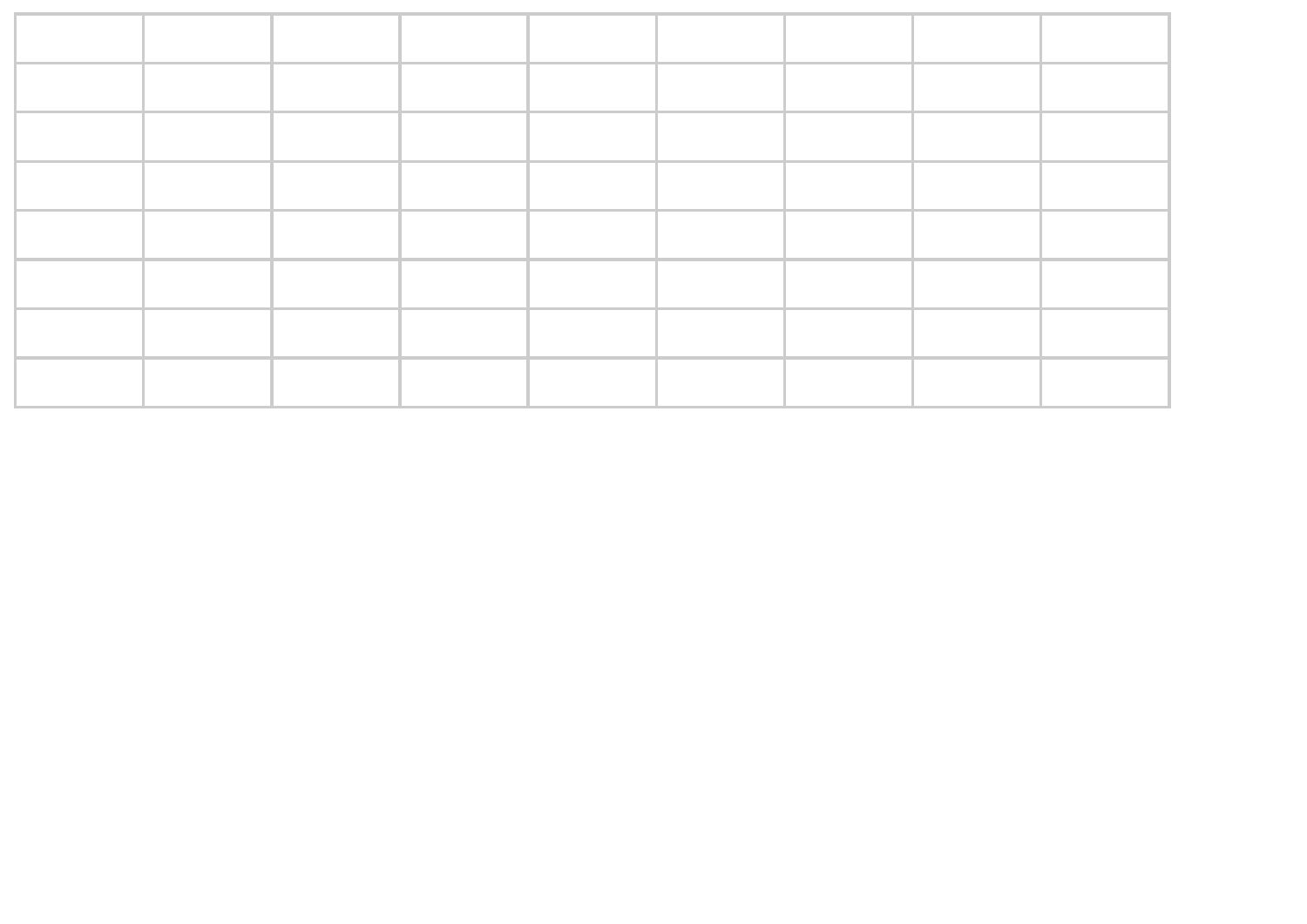| the contract of the contract of the        |                                                  |  |                                                                                |                                   |  |  |
|--------------------------------------------|--------------------------------------------------|--|--------------------------------------------------------------------------------|-----------------------------------|--|--|
|                                            |                                                  |  |                                                                                |                                   |  |  |
| <b>Contract Contract Contract Contract</b> |                                                  |  |                                                                                |                                   |  |  |
|                                            |                                                  |  |                                                                                |                                   |  |  |
|                                            |                                                  |  |                                                                                |                                   |  |  |
|                                            |                                                  |  |                                                                                |                                   |  |  |
|                                            | the control of the control of the control of the |  |                                                                                | the control of the control of the |  |  |
|                                            |                                                  |  | and the control of the control of the control of the control of the control of |                                   |  |  |